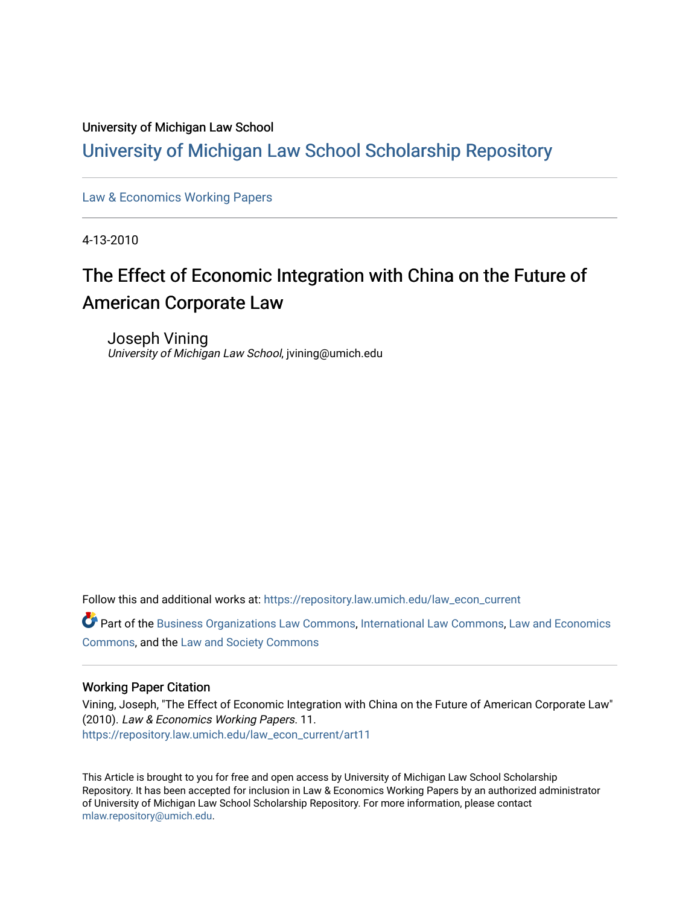## University of Michigan Law School

# [University of Michigan Law School Scholarship Repository](https://repository.law.umich.edu/)

[Law & Economics Working Papers](https://repository.law.umich.edu/law_econ_current)

4-13-2010

# The Effect of Economic Integration with China on the Future of American Corporate Law

Joseph Vining University of Michigan Law School, jvining@umich.edu

Follow this and additional works at: [https://repository.law.umich.edu/law\\_econ\\_current](https://repository.law.umich.edu/law_econ_current?utm_source=repository.law.umich.edu%2Flaw_econ_current%2Fart11&utm_medium=PDF&utm_campaign=PDFCoverPages) 

Part of the [Business Organizations Law Commons](http://network.bepress.com/hgg/discipline/900?utm_source=repository.law.umich.edu%2Flaw_econ_current%2Fart11&utm_medium=PDF&utm_campaign=PDFCoverPages), [International Law Commons,](http://network.bepress.com/hgg/discipline/609?utm_source=repository.law.umich.edu%2Flaw_econ_current%2Fart11&utm_medium=PDF&utm_campaign=PDFCoverPages) [Law and Economics](http://network.bepress.com/hgg/discipline/612?utm_source=repository.law.umich.edu%2Flaw_econ_current%2Fart11&utm_medium=PDF&utm_campaign=PDFCoverPages)  [Commons](http://network.bepress.com/hgg/discipline/612?utm_source=repository.law.umich.edu%2Flaw_econ_current%2Fart11&utm_medium=PDF&utm_campaign=PDFCoverPages), and the [Law and Society Commons](http://network.bepress.com/hgg/discipline/853?utm_source=repository.law.umich.edu%2Flaw_econ_current%2Fart11&utm_medium=PDF&utm_campaign=PDFCoverPages)

### Working Paper Citation

Vining, Joseph, "The Effect of Economic Integration with China on the Future of American Corporate Law" (2010). Law & Economics Working Papers. 11. [https://repository.law.umich.edu/law\\_econ\\_current/art11](https://repository.law.umich.edu/law_econ_current/art11?utm_source=repository.law.umich.edu%2Flaw_econ_current%2Fart11&utm_medium=PDF&utm_campaign=PDFCoverPages)

This Article is brought to you for free and open access by University of Michigan Law School Scholarship Repository. It has been accepted for inclusion in Law & Economics Working Papers by an authorized administrator of University of Michigan Law School Scholarship Repository. For more information, please contact [mlaw.repository@umich.edu.](mailto:mlaw.repository@umich.edu)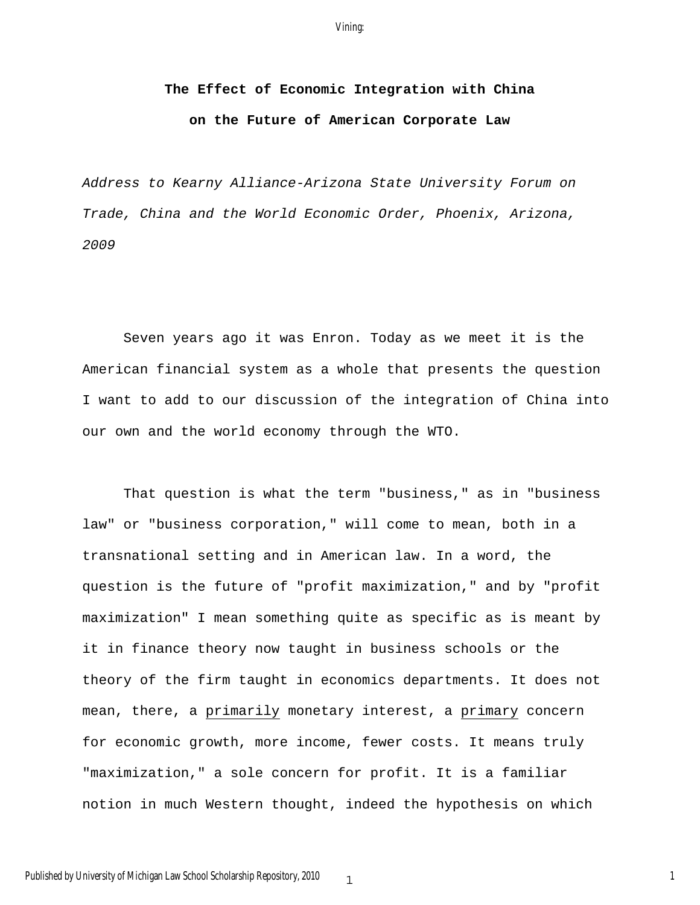**The Effect of Economic Integration with China on the Future of American Corporate Law** 

*Address to Kearny Alliance-Arizona State University Forum on Trade, China and the World Economic Order, Phoenix, Arizona, 2009* 

Seven years ago it was Enron. Today as we meet it is the American financial system as a whole that presents the question I want to add to our discussion of the integration of China into our own and the world economy through the WTO.

That question is what the term "business," as in "business law" or "business corporation," will come to mean, both in a transnational setting and in American law. In a word, the question is the future of "profit maximization," and by "profit maximization" I mean something quite as specific as is meant by it in finance theory now taught in business schools or the theory of the firm taught in economics departments. It does not mean, there, a primarily monetary interest, a primary concern for economic growth, more income, fewer costs. It means truly "maximization," a sole concern for profit. It is a familiar notion in much Western thought, indeed the hypothesis on which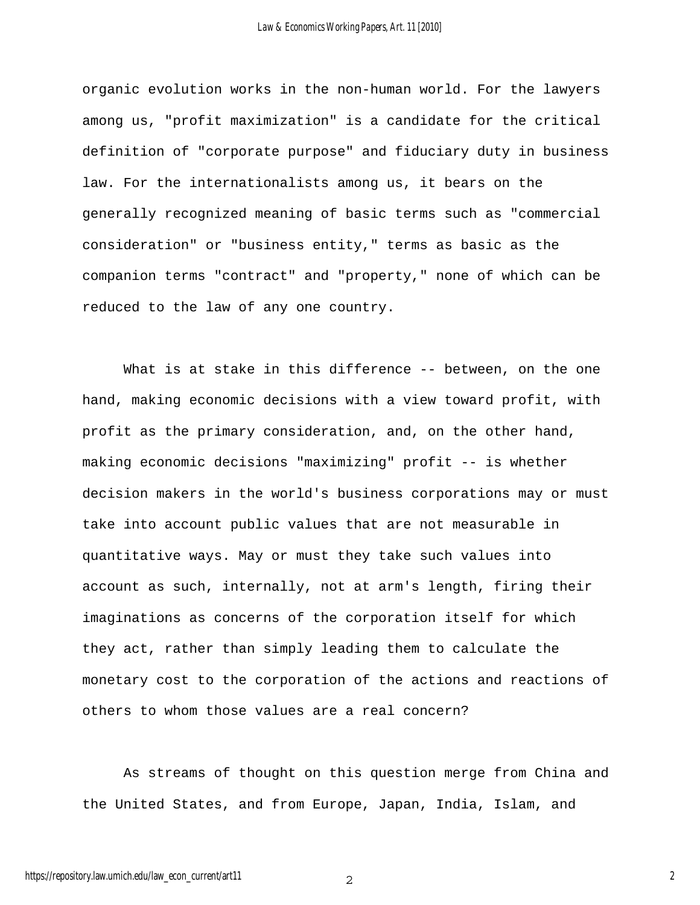organic evolution works in the non-human world. For the lawyers among us, "profit maximization" is a candidate for the critical definition of "corporate purpose" and fiduciary duty in business law. For the internationalists among us, it bears on the generally recognized meaning of basic terms such as "commercial consideration" or "business entity," terms as basic as the companion terms "contract" and "property," none of which can be reduced to the law of any one country.

What is at stake in this difference -- between, on the one hand, making economic decisions with a view toward profit, with profit as the primary consideration, and, on the other hand, making economic decisions "maximizing" profit -- is whether decision makers in the world's business corporations may or must take into account public values that are not measurable in quantitative ways. May or must they take such values into account as such, internally, not at arm's length, firing their imaginations as concerns of the corporation itself for which they act, rather than simply leading them to calculate the monetary cost to the corporation of the actions and reactions of others to whom those values are a real concern?

As streams of thought on this question merge from China and the United States, and from Europe, Japan, India, Islam, and

2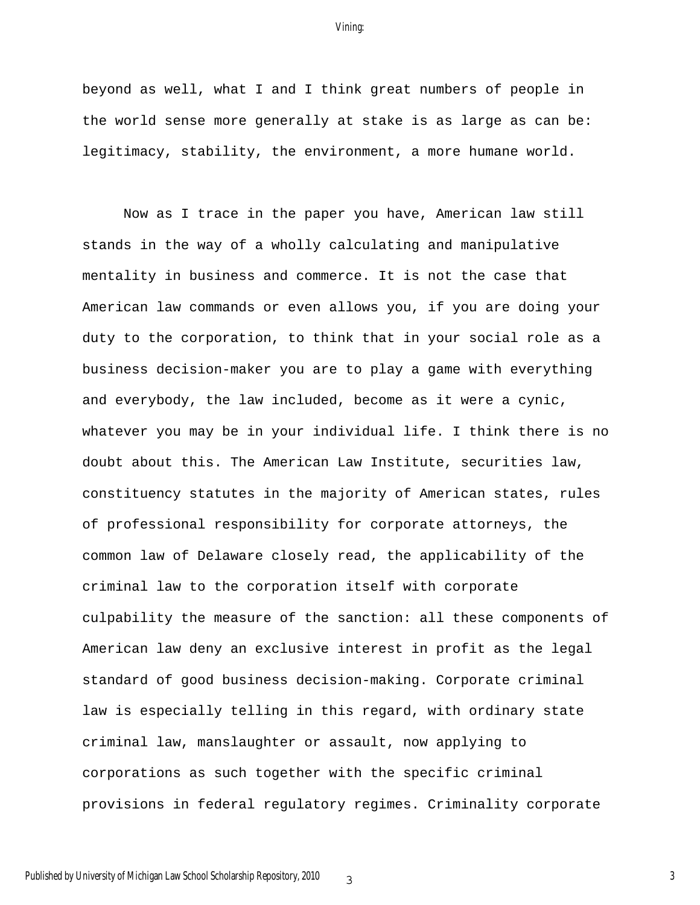beyond as well, what I and I think great numbers of people in the world sense more generally at stake is as large as can be: legitimacy, stability, the environment, a more humane world.

Now as I trace in the paper you have, American law still stands in the way of a wholly calculating and manipulative mentality in business and commerce. It is not the case that American law commands or even allows you, if you are doing your duty to the corporation, to think that in your social role as a business decision-maker you are to play a game with everything and everybody, the law included, become as it were a cynic, whatever you may be in your individual life. I think there is no doubt about this. The American Law Institute, securities law, constituency statutes in the majority of American states, rules of professional responsibility for corporate attorneys, the common law of Delaware closely read, the applicability of the criminal law to the corporation itself with corporate culpability the measure of the sanction: all these components of American law deny an exclusive interest in profit as the legal standard of good business decision-making. Corporate criminal law is especially telling in this regard, with ordinary state criminal law, manslaughter or assault, now applying to corporations as such together with the specific criminal provisions in federal regulatory regimes. Criminality corporate

#### Vining: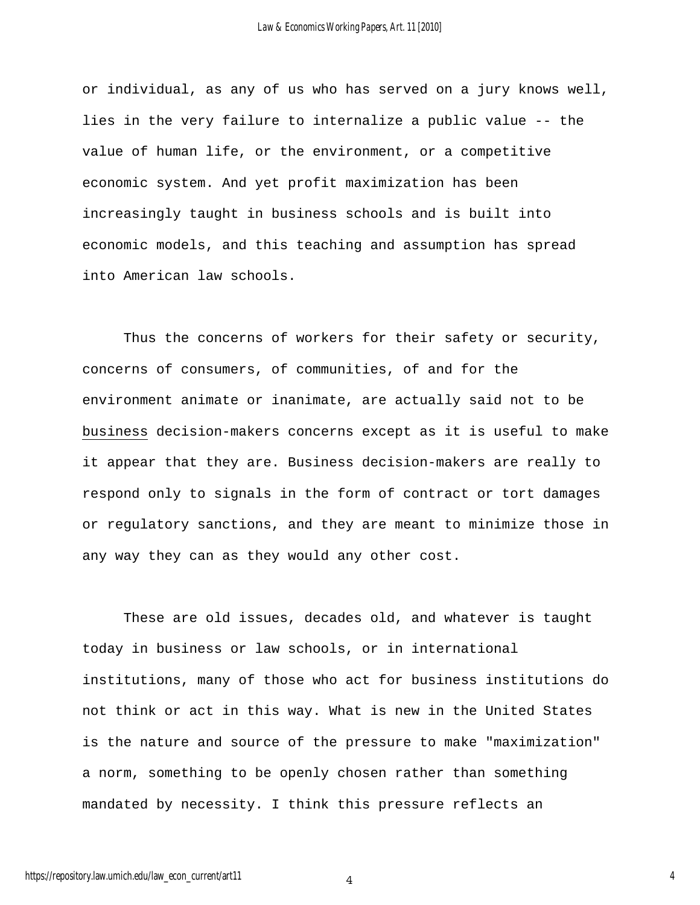or individual, as any of us who has served on a jury knows well, lies in the very failure to internalize a public value -- the value of human life, or the environment, or a competitive economic system. And yet profit maximization has been increasingly taught in business schools and is built into economic models, and this teaching and assumption has spread into American law schools.

Thus the concerns of workers for their safety or security, concerns of consumers, of communities, of and for the environment animate or inanimate, are actually said not to be business decision-makers concerns except as it is useful to make it appear that they are. Business decision-makers are really to respond only to signals in the form of contract or tort damages or regulatory sanctions, and they are meant to minimize those in any way they can as they would any other cost.

These are old issues, decades old, and whatever is taught today in business or law schools, or in international institutions, many of those who act for business institutions do not think or act in this way. What is new in the United States is the nature and source of the pressure to make "maximization" a norm, something to be openly chosen rather than something mandated by necessity. I think this pressure reflects an

4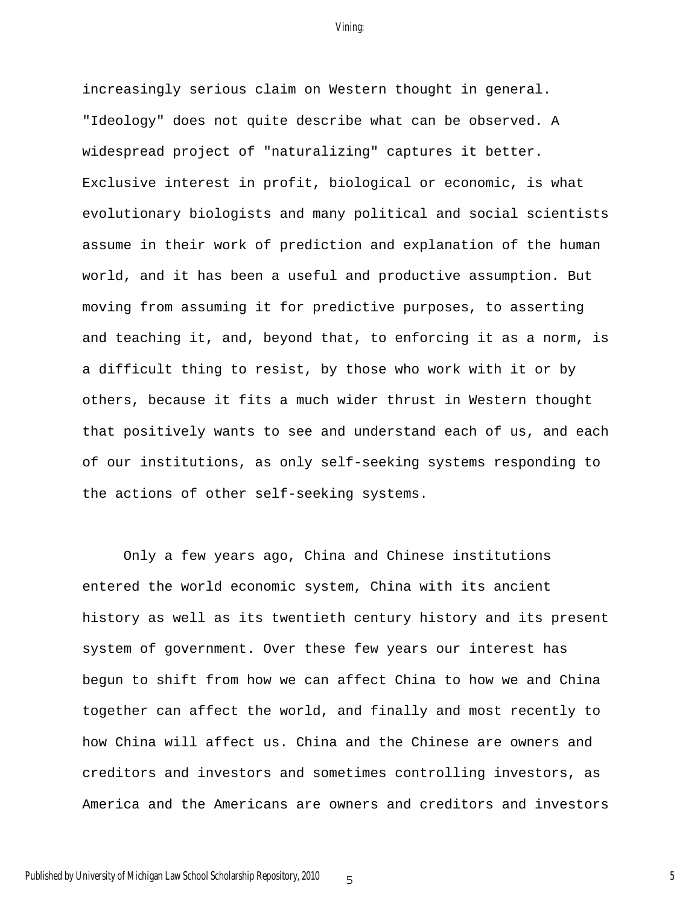increasingly serious claim on Western thought in general. "Ideology" does not quite describe what can be observed. A widespread project of "naturalizing" captures it better. Exclusive interest in profit, biological or economic, is what evolutionary biologists and many political and social scientists assume in their work of prediction and explanation of the human world, and it has been a useful and productive assumption. But moving from assuming it for predictive purposes, to asserting and teaching it, and, beyond that, to enforcing it as a norm, is a difficult thing to resist, by those who work with it or by others, because it fits a much wider thrust in Western thought that positively wants to see and understand each of us, and each of our institutions, as only self-seeking systems responding to the actions of other self-seeking systems.

Only a few years ago, China and Chinese institutions entered the world economic system, China with its ancient history as well as its twentieth century history and its present system of government. Over these few years our interest has begun to shift from how we can affect China to how we and China together can affect the world, and finally and most recently to how China will affect us. China and the Chinese are owners and creditors and investors and sometimes controlling investors, as America and the Americans are owners and creditors and investors

5

5 Published by University of Michigan Law School Scholarship Repository, 2010

Vining: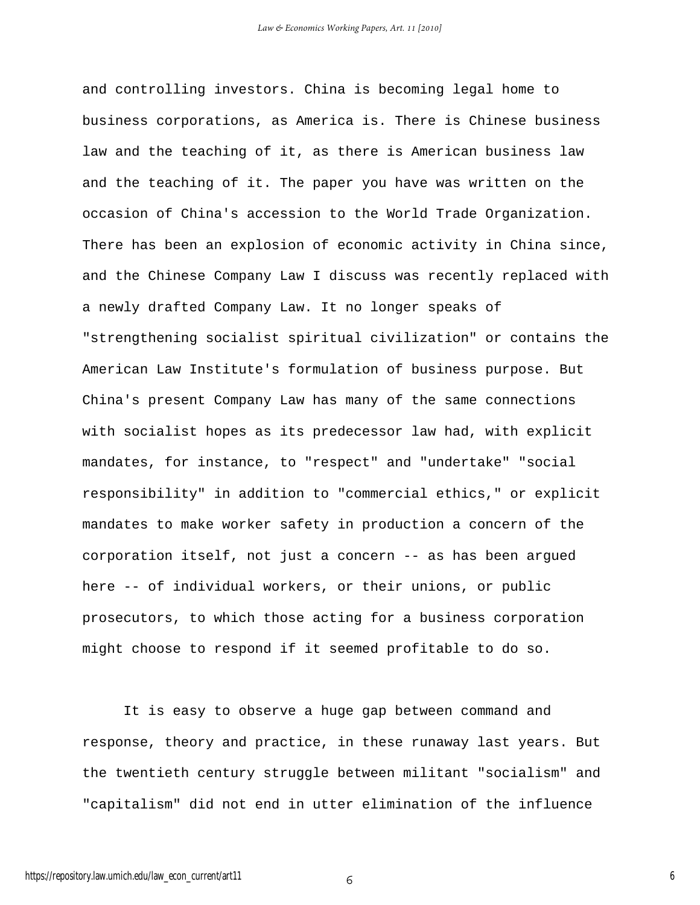and controlling investors. China is becoming legal home to business corporations, as America is. There is Chinese business law and the teaching of it, as there is American business law and the teaching of it. The paper you have was written on the occasion of China's accession to the World Trade Organization. There has been an explosion of economic activity in China since, and the Chinese Company Law I discuss was recently replaced with a newly drafted Company Law. It no longer speaks of "strengthening socialist spiritual civilization" or contains the American Law Institute's formulation of business purpose. But China's present Company Law has many of the same connections with socialist hopes as its predecessor law had, with explicit mandates, for instance, to "respect" and "undertake" "social responsibility" in addition to "commercial ethics," or explicit mandates to make worker safety in production a concern of the corporation itself, not just a concern -- as has been argued here -- of individual workers, or their unions, or public prosecutors, to which those acting for a business corporation might choose to respond if it seemed profitable to do so.

It is easy to observe a huge gap between command and response, theory and practice, in these runaway last years. But the twentieth century struggle between militant "socialism" and "capitalism" did not end in utter elimination of the influence

6